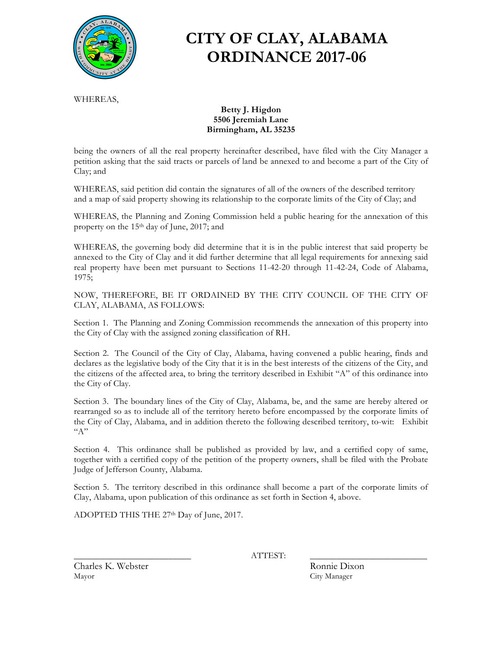

# **CITY OF CLAY, ALABAMA ORDINANCE 2017-06**

WHEREAS,

#### **Betty J. Higdon 5506 Jeremiah Lane Birmingham, AL 35235**

being the owners of all the real property hereinafter described, have filed with the City Manager a petition asking that the said tracts or parcels of land be annexed to and become a part of the City of Clay; and

WHEREAS, said petition did contain the signatures of all of the owners of the described territory and a map of said property showing its relationship to the corporate limits of the City of Clay; and

WHEREAS, the Planning and Zoning Commission held a public hearing for the annexation of this property on the 15th day of June, 2017; and

WHEREAS, the governing body did determine that it is in the public interest that said property be annexed to the City of Clay and it did further determine that all legal requirements for annexing said real property have been met pursuant to Sections 11-42-20 through 11-42-24, Code of Alabama, 1975;

NOW, THEREFORE, BE IT ORDAINED BY THE CITY COUNCIL OF THE CITY OF CLAY, ALABAMA, AS FOLLOWS:

Section 1. The Planning and Zoning Commission recommends the annexation of this property into the City of Clay with the assigned zoning classification of RH.

Section 2. The Council of the City of Clay, Alabama, having convened a public hearing, finds and declares as the legislative body of the City that it is in the best interests of the citizens of the City, and the citizens of the affected area, to bring the territory described in Exhibit "A" of this ordinance into the City of Clay.

Section 3. The boundary lines of the City of Clay, Alabama, be, and the same are hereby altered or rearranged so as to include all of the territory hereto before encompassed by the corporate limits of the City of Clay, Alabama, and in addition thereto the following described territory, to-wit: Exhibit  $"A"$ 

Section 4. This ordinance shall be published as provided by law, and a certified copy of same, together with a certified copy of the petition of the property owners, shall be filed with the Probate Judge of Jefferson County, Alabama.

Section 5. The territory described in this ordinance shall become a part of the corporate limits of Clay, Alabama, upon publication of this ordinance as set forth in Section 4, above.

ADOPTED THIS THE 27th Day of June, 2017.

\_\_\_\_\_\_\_\_\_\_\_\_\_\_\_\_\_\_\_\_\_\_\_\_\_\_ ATTEST: \_\_\_\_\_\_\_\_\_\_\_\_\_\_\_\_\_\_\_\_\_\_\_\_\_\_

Charles K. Webster **Ronnie Dixon** Mayor City Manager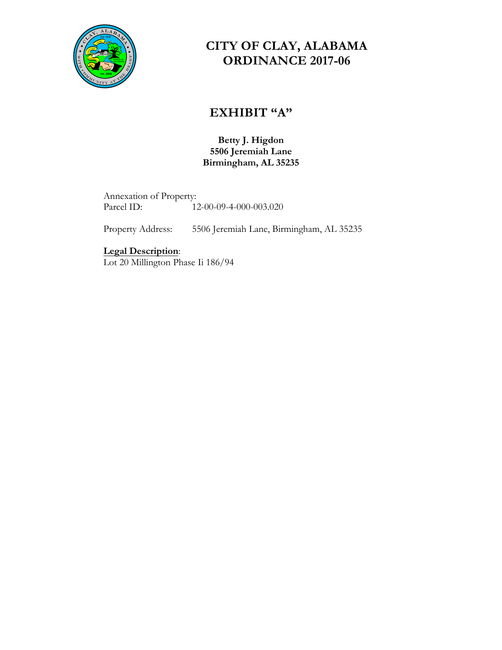

### **CITY OF CLAY, ALABAMA ORDINANCE 2017-06**

### **EXHIBIT "A"**

**Betty J. Higdon 5506 Jeremiah Lane Birmingham, AL 35235**

Annexation of Property: Parcel ID: 12-00-09-4-000-003.020

Property Address: 5506 Jeremiah Lane, Birmingham, AL 35235

**Legal Description**:

Lot 20 Millington Phase Ii 186/94